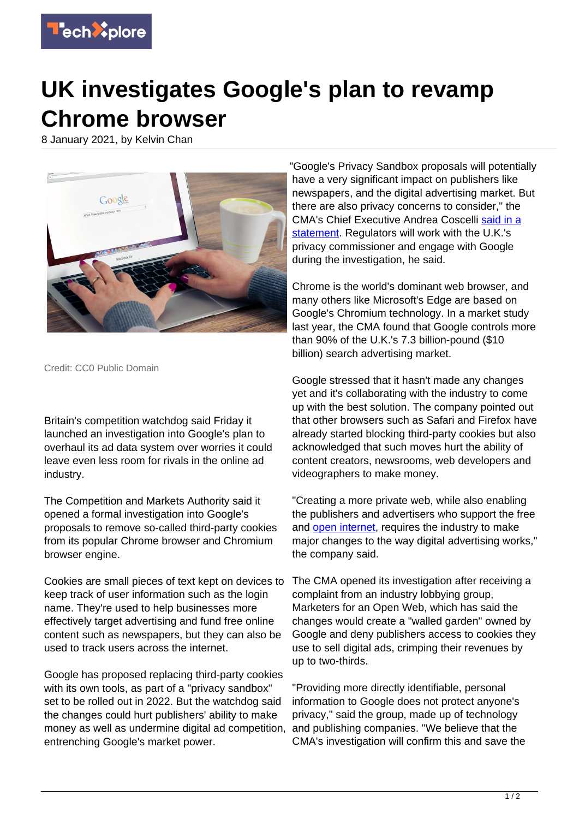

## **UK investigates Google's plan to revamp Chrome browser**

8 January 2021, by Kelvin Chan



Credit: CC0 Public Domain

Britain's competition watchdog said Friday it launched an investigation into Google's plan to overhaul its ad data system over worries it could leave even less room for rivals in the online ad industry.

The Competition and Markets Authority said it opened a formal investigation into Google's proposals to remove so-called third-party cookies from its popular Chrome browser and Chromium browser engine.

Cookies are small pieces of text kept on devices to keep track of user information such as the login name. They're used to help businesses more effectively target advertising and fund free online content such as newspapers, but they can also be used to track users across the internet.

Google has proposed replacing third-party cookies with its own tools, as part of a "privacy sandbox" set to be rolled out in 2022. But the watchdog said the changes could hurt publishers' ability to make money as well as undermine digital ad competition, entrenching Google's market power.

"Google's Privacy Sandbox proposals will potentially have a very significant impact on publishers like newspapers, and the digital advertising market. But there are also privacy concerns to consider," the CMA's Chief Executive Andrea Coscelli [said in a](https://www.gov.uk/government/news/cma-to-investigate-google-s-privacy-sandbox-browser-changes) [statement.](https://www.gov.uk/government/news/cma-to-investigate-google-s-privacy-sandbox-browser-changes) Regulators will work with the U.K.'s privacy commissioner and engage with Google during the investigation, he said.

Chrome is the world's dominant web browser, and many others like Microsoft's Edge are based on Google's Chromium technology. In a market study last year, the CMA found that Google controls more than 90% of the U.K.'s 7.3 billion-pound (\$10 billion) search advertising market.

Google stressed that it hasn't made any changes yet and it's collaborating with the industry to come up with the best solution. The company pointed out that other browsers such as Safari and Firefox have already started blocking third-party cookies but also acknowledged that such moves hurt the ability of content creators, newsrooms, web developers and videographers to make money.

"Creating a more private web, while also enabling the publishers and advertisers who support the free and [open internet](https://techxplore.com/tags/open+internet/), requires the industry to make major changes to the way digital advertising works," the company said.

The CMA opened its investigation after receiving a complaint from an industry lobbying group, Marketers for an Open Web, which has said the changes would create a "walled garden" owned by Google and deny publishers access to cookies they use to sell digital ads, crimping their revenues by up to two-thirds.

"Providing more directly identifiable, personal information to Google does not protect anyone's privacy," said the group, made up of technology and publishing companies. "We believe that the CMA's investigation will confirm this and save the